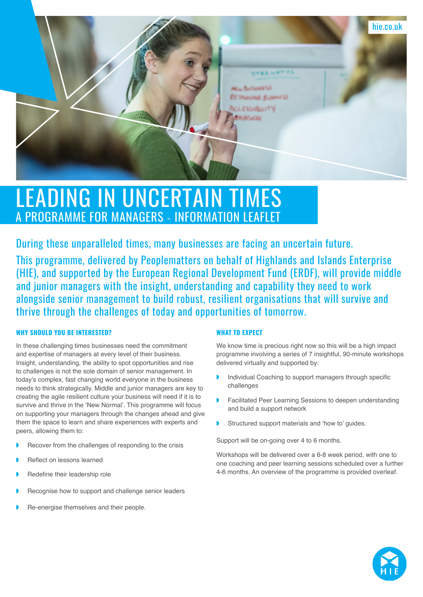

# LEADING IN UNCERTAIN TIMES PROGRAMME FOR MANAGERS - INFORMATION LEAFL

During these unparalleled times, many businesses are facing an uncertain future.

This programme, delivered by Peoplematters on behalf of Highlands and Islands Enterprise (HIE), and supported by the European Regional Development Fund (ERDF), will provide middle and junior managers with the insight, understanding and capability they need to work alongside senior management to build robust, resilient organisations that will survive and thrive through the challenges of today and opportunities of tomorrow.

## **WHY SHOULD YOU BE INTERESTED?**

In these challenging times businesses need the commitment and expertise of managers at every level of their business. Insight, understanding, the ability to spot opportunities and rise to challenges is not the sole domain of senior management. In today's complex, fast changing world everyone in the business needs to think strategically. Middle and junior managers are key to creating the agile resilient culture your business will need if it is to survive and thrive in the 'New Normal'. This programme will focus on supporting your managers through the changes ahead and give them the space to learn and share experiences with experts and peers, allowing them to:

- Recover from the challenges of responding to the crisis
- ◗ Reflect on lessons learned
- Redefine their leadership role
- Recognise how to support and challenge senior leaders
- ◗ Re-energise themselves and their people.

# **WHAT TO EXPECT**

We know time is precious right now so this will be a high impact programme involving a series of 7 insightful, 90-minute workshops delivered virtually and supported by:

- ◗ Individual Coaching to support managers through specific challenges
- ◗ Facilitated Peer Learning Sessions to deepen understanding and build a support network
- ◗ Structured support materials and 'how to' guides.

Support will be on-going over 4 to 6 months.

Workshops will be delivered over a 6-8 week period, with one to one coaching and peer learning sessions scheduled over a further 4-6 months. An overview of the programme is provided overleaf.